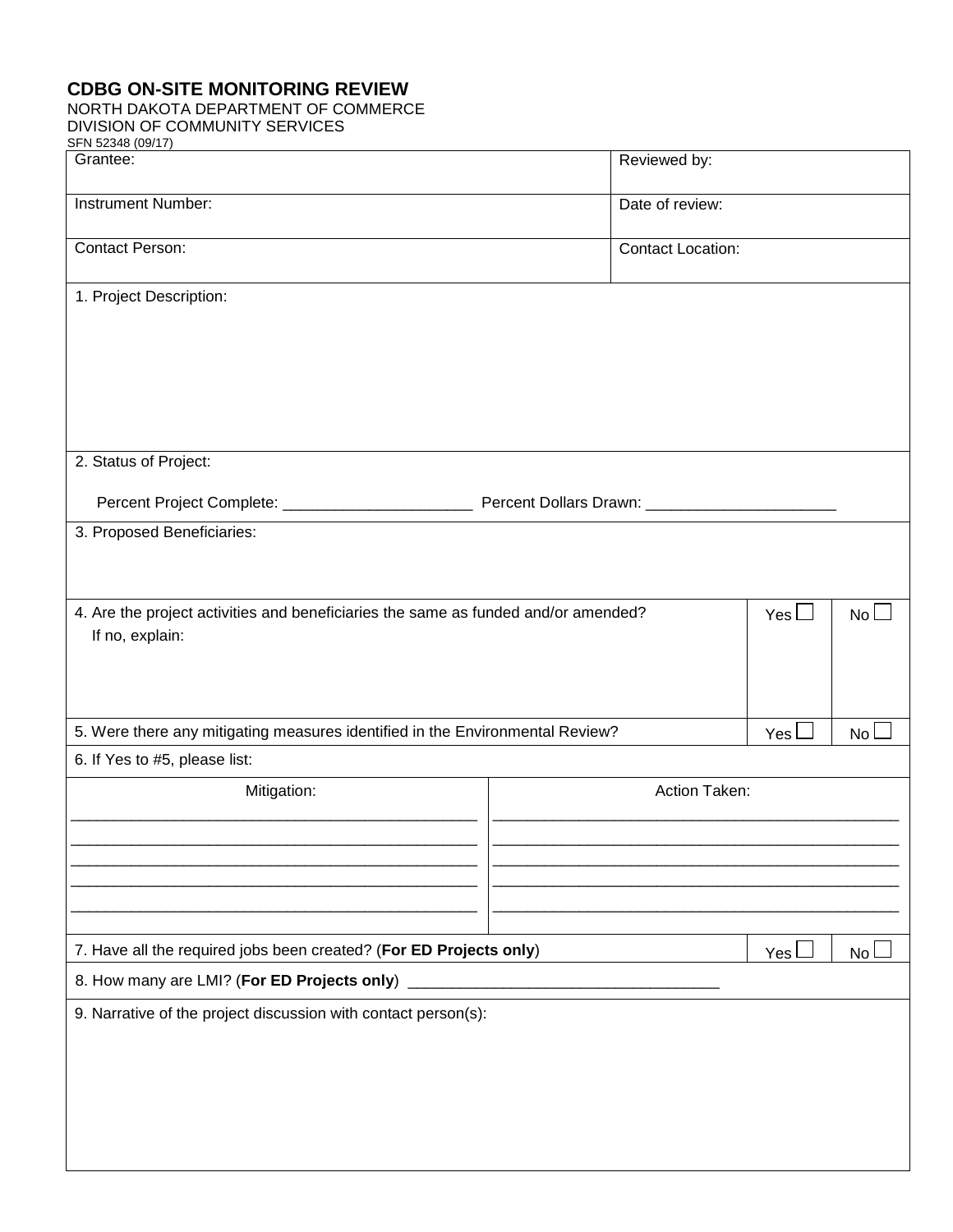## **CDBG ON-SITE MONITORING REVIEW**

## NORTH DAKOTA DEPARTMENT OF COMMERCE

DIVISION OF COMMUNITY SERVICES

| SFN 52348 (09/17)                                                                  |                 |  |                           |           |  |  |  |  |
|------------------------------------------------------------------------------------|-----------------|--|---------------------------|-----------|--|--|--|--|
| Grantee:                                                                           | Reviewed by:    |  |                           |           |  |  |  |  |
| <b>Instrument Number:</b>                                                          | Date of review: |  |                           |           |  |  |  |  |
| <b>Contact Person:</b><br><b>Contact Location:</b>                                 |                 |  |                           |           |  |  |  |  |
| 1. Project Description:                                                            |                 |  |                           |           |  |  |  |  |
|                                                                                    |                 |  |                           |           |  |  |  |  |
|                                                                                    |                 |  |                           |           |  |  |  |  |
|                                                                                    |                 |  |                           |           |  |  |  |  |
| 2. Status of Project:                                                              |                 |  |                           |           |  |  |  |  |
|                                                                                    |                 |  |                           |           |  |  |  |  |
| 3. Proposed Beneficiaries:                                                         |                 |  |                           |           |  |  |  |  |
|                                                                                    |                 |  |                           |           |  |  |  |  |
| 4. Are the project activities and beneficiaries the same as funded and/or amended? |                 |  | Yes $\mathsf{\mathsf{L}}$ | <b>No</b> |  |  |  |  |
| If no, explain:                                                                    |                 |  |                           |           |  |  |  |  |
|                                                                                    |                 |  |                           |           |  |  |  |  |
| 5. Were there any mitigating measures identified in the Environmental Review?      |                 |  | Yes                       | No        |  |  |  |  |
| 6. If Yes to #5, please list:                                                      |                 |  |                           |           |  |  |  |  |
| Mitigation:                                                                        | Action Taken:   |  |                           |           |  |  |  |  |
|                                                                                    |                 |  |                           |           |  |  |  |  |
|                                                                                    |                 |  |                           |           |  |  |  |  |
|                                                                                    |                 |  |                           |           |  |  |  |  |
| 7. Have all the required jobs been created? (For ED Projects only)                 |                 |  |                           | No l      |  |  |  |  |
|                                                                                    |                 |  |                           |           |  |  |  |  |
| 9. Narrative of the project discussion with contact person(s):                     |                 |  |                           |           |  |  |  |  |
|                                                                                    |                 |  |                           |           |  |  |  |  |
|                                                                                    |                 |  |                           |           |  |  |  |  |
|                                                                                    |                 |  |                           |           |  |  |  |  |
|                                                                                    |                 |  |                           |           |  |  |  |  |